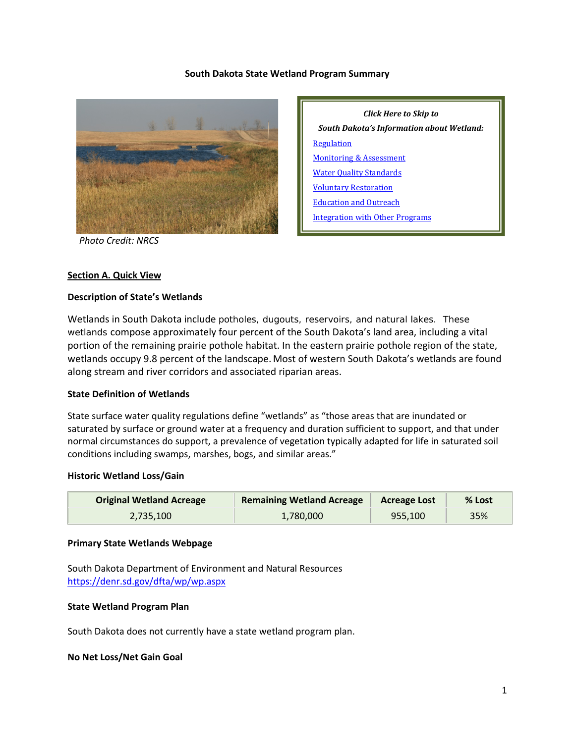#### **South Dakota State Wetland Program Summary**



*Click Here to Skip to South Dakota's Information about Wetland:* **[Regulation](#page-1-0)** [Monitoring & Assessment](#page-3-0) [Water Quality Standards](#page-6-0) [Voluntary Restoration](#page-6-1) [Education and Outreach](#page-8-0) [Integration with Other Programs](#page-8-1)

 *Photo Credit: NRCS*

#### **Section A. Quick View**

#### **Description of State's Wetlands**

Wetlands in South Dakota include potholes, dugouts, reservoirs, and natural lakes. These wetlands compose approximately four percent of the South Dakota's land area, including a vital portion of the remaining prairie pothole habitat. In the eastern prairie pothole region of the state, wetlands occupy 9.8 percent of the landscape. Most of western South Dakota's wetlands are found along stream and river corridors and associated riparian areas.

#### **State Definition of Wetlands**

State surface water quality regulations define "wetlands" as "those areas that are inundated or saturated by surface or ground water at a frequency and duration sufficient to support, and that under normal circumstances do support, a prevalence of vegetation typically adapted for life in saturated soil conditions including swamps, marshes, bogs, and similar areas."

#### **Historic Wetland Loss/Gain**

| <b>Original Wetland Acreage</b> | <b>Remaining Wetland Acreage</b> | <b>Acreage Lost</b> | % Lost |
|---------------------------------|----------------------------------|---------------------|--------|
| 2.735.100                       | 1,780,000                        | 955,100             | 35%    |

#### **Primary State Wetlands Webpage**

South Dakota Department of Environment and Natural Resources <https://denr.sd.gov/dfta/wp/wp.aspx>

# **State Wetland Program Plan**

South Dakota does not currently have a state wetland program plan.

#### **No Net Loss/Net Gain Goal**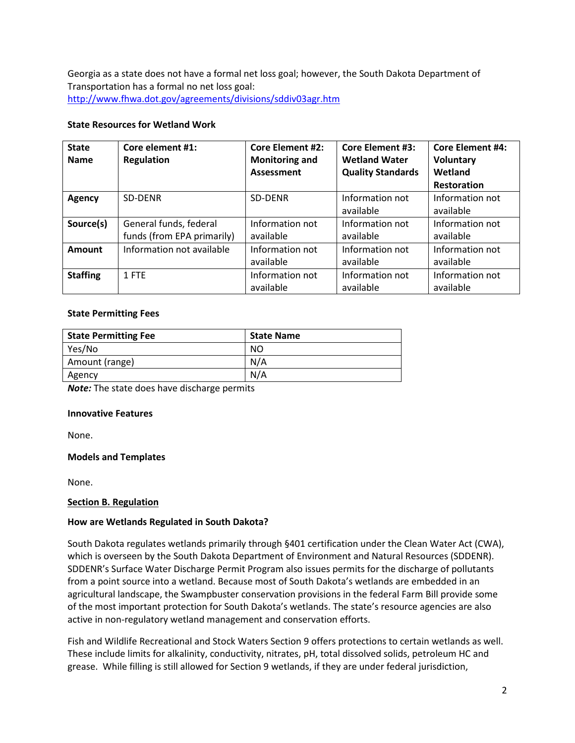Georgia as a state does not have a formal net loss goal; however, the South Dakota Department of Transportation has a formal no net loss goal: <http://www.fhwa.dot.gov/agreements/divisions/sddiv03agr.htm>

# **State Resources for Wetland Work**

| <b>State</b><br><b>Name</b> | Core element #1:<br>Regulation                       | <b>Core Element #2:</b><br><b>Monitoring and</b><br>Assessment | <b>Core Element #3:</b><br><b>Wetland Water</b><br><b>Quality Standards</b> | <b>Core Element #4:</b><br><b>Voluntary</b><br>Wetland<br><b>Restoration</b> |
|-----------------------------|------------------------------------------------------|----------------------------------------------------------------|-----------------------------------------------------------------------------|------------------------------------------------------------------------------|
| <b>Agency</b>               | <b>SD-DENR</b>                                       | SD-DENR                                                        | Information not<br>available                                                | Information not<br>available                                                 |
| Source(s)                   | General funds, federal<br>funds (from EPA primarily) | Information not<br>available                                   | Information not<br>available                                                | Information not<br>available                                                 |
| Amount                      | Information not available                            | Information not<br>available                                   | Information not<br>available                                                | Information not<br>available                                                 |
| <b>Staffing</b>             | 1 FTE                                                | Information not<br>available                                   | Information not<br>available                                                | Information not<br>available                                                 |

#### **State Permitting Fees**

| <b>State Permitting Fee</b> | <b>State Name</b> |
|-----------------------------|-------------------|
| Yes/No                      | NO                |
| Amount (range)              | N/A               |
| Agency                      | N/A               |

*Note:* The state does have discharge permits

# **Innovative Features**

None.

# **Models and Templates**

None.

# <span id="page-1-0"></span>**Section B. Regulation**

# **How are Wetlands Regulated in South Dakota?**

South Dakota regulates wetlands primarily through §401 certification under the Clean Water Act (CWA), which is overseen by the South Dakota Department of Environment and Natural Resources (SDDENR). SDDENR's Surface Water Discharge Permit Program also issues permits for the discharge of pollutants from a point source into a wetland. Because most of South Dakota's wetlands are embedded in an agricultural landscape, the Swampbuster conservation provisions in the federal Farm Bill provide some of the most important protection for South Dakota's wetlands. The state's resource agencies are also active in non-regulatory wetland management and conservation efforts.

Fish and Wildlife Recreational and Stock Waters Section 9 offers protections to certain wetlands as well. These include limits for alkalinity, conductivity, nitrates, pH, total dissolved solids, petroleum HC and grease. While filling is still allowed for Section 9 wetlands, if they are under federal jurisdiction,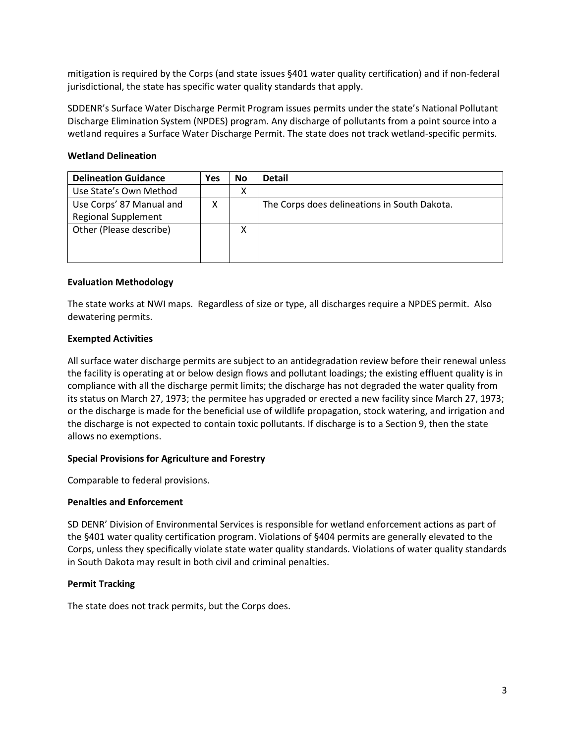mitigation is required by the Corps (and state issues §401 water quality certification) and if non-federal jurisdictional, the state has specific water quality standards that apply.

SDDENR's Surface Water Discharge Permit Program issues permits under the state's National Pollutant Discharge Elimination System (NPDES) program. Any discharge of pollutants from a point source into a wetland requires a Surface Water Discharge Permit. The state does not track wetland-specific permits.

# **Wetland Delineation**

| <b>Delineation Guidance</b> | Yes | <b>No</b> | <b>Detail</b>                                |
|-----------------------------|-----|-----------|----------------------------------------------|
| Use State's Own Method      |     | х         |                                              |
| Use Corps' 87 Manual and    |     |           | The Corps does delineations in South Dakota. |
| <b>Regional Supplement</b>  |     |           |                                              |
| Other (Please describe)     |     | X         |                                              |
|                             |     |           |                                              |
|                             |     |           |                                              |

# **Evaluation Methodology**

The state works at NWI maps. Regardless of size or type, all discharges require a NPDES permit. Also dewatering permits.

# **Exempted Activities**

All surface water discharge permits are subject to an antidegradation review before their renewal unless the facility is operating at or below design flows and pollutant loadings; the existing effluent quality is in compliance with all the discharge permit limits; the discharge has not degraded the water quality from its status on March 27, 1973; the permitee has upgraded or erected a new facility since March 27, 1973; or the discharge is made for the beneficial use of wildlife propagation, stock watering, and irrigation and the discharge is not expected to contain toxic pollutants. If discharge is to a Section 9, then the state allows no exemptions.

#### **Special Provisions for Agriculture and Forestry**

Comparable to federal provisions.

#### **Penalties and Enforcement**

SD DENR' Division of Environmental Services is responsible for wetland enforcement actions as part of the §401 water quality certification program. Violations of §404 permits are generally elevated to the Corps, unless they specifically violate state water quality standards. Violations of water quality standards in South Dakota may result in both civil and criminal penalties.

# **Permit Tracking**

The state does not track permits, but the Corps does.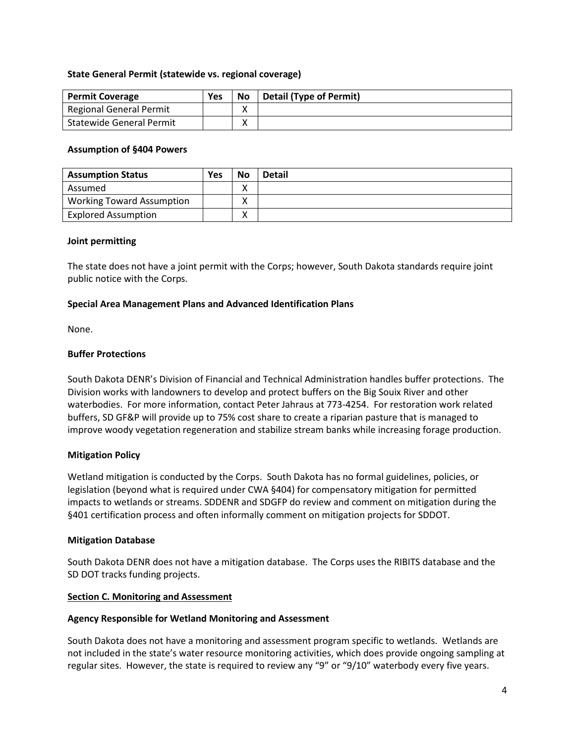#### **State General Permit (statewide vs. regional coverage)**

| <b>Permit Coverage</b>         | Yes | No          | Detail (Type of Permit) |
|--------------------------------|-----|-------------|-------------------------|
| <b>Regional General Permit</b> |     |             |                         |
| Statewide General Permit       |     | $\check{ }$ |                         |

#### **Assumption of §404 Powers**

| <b>Assumption Status</b>         | <b>Yes</b> | <b>No</b>         | <b>Detail</b> |
|----------------------------------|------------|-------------------|---------------|
| Assumed                          |            | $\checkmark$<br>Λ |               |
| <b>Working Toward Assumption</b> |            |                   |               |
| <b>Explored Assumption</b>       |            | Λ                 |               |

#### **Joint permitting**

The state does not have a joint permit with the Corps; however, South Dakota standards require joint public notice with the Corps.

# **Special Area Management Plans and Advanced Identification Plans**

None.

# **Buffer Protections**

South Dakota DENR's Division of Financial and Technical Administration handles buffer protections. The Division works with landowners to develop and protect buffers on the Big Souix River and other waterbodies. For more information, contact Peter Jahraus at 773-4254. For restoration work related buffers, SD GF&P will provide up to 75% cost share to create a riparian pasture that is managed to improve woody vegetation regeneration and stabilize stream banks while increasing forage production.

# **Mitigation Policy**

Wetland mitigation is conducted by the Corps. South Dakota has no formal guidelines, policies, or legislation (beyond what is required under CWA §404) for compensatory mitigation for permitted impacts to wetlands or streams. SDDENR and SDGFP do review and comment on mitigation during the §401 certification process and often informally comment on mitigation projects for SDDOT.

#### **Mitigation Database**

South Dakota DENR does not have a mitigation database. The Corps uses the RIBITS database and the SD DOT tracks funding projects.

#### <span id="page-3-0"></span>**Section C. Monitoring and Assessment**

#### **Agency Responsible for Wetland Monitoring and Assessment**

South Dakota does not have a monitoring and assessment program specific to wetlands. Wetlands are not included in the state's water resource monitoring activities, which does provide ongoing sampling at regular sites. However, the state is required to review any "9" or "9/10" waterbody every five years.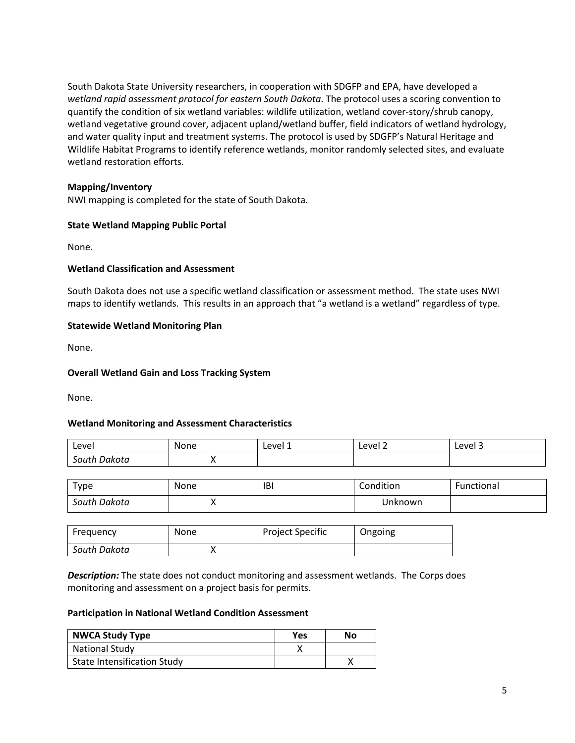South Dakota State University researchers, in cooperation with SDGFP and EPA, have developed a *wetland rapid assessment protocol for eastern South Dakota*. The protocol uses a scoring convention to quantify the condition of six wetland variables: wildlife utilization, wetland cover-story/shrub canopy, wetland vegetative ground cover, adjacent upland/wetland buffer, field indicators of wetland hydrology, and water quality input and treatment systems. The protocol is used by SDGFP's Natural Heritage and Wildlife Habitat Programs to identify reference wetlands, monitor randomly selected sites, and evaluate wetland restoration efforts.

# **Mapping/Inventory**

NWI mapping is completed for the state of South Dakota.

#### **State Wetland Mapping Public Portal**

None.

#### **Wetland Classification and Assessment**

South Dakota does not use a specific wetland classification or assessment method. The state uses NWI maps to identify wetlands. This results in an approach that "a wetland is a wetland" regardless of type.

#### **Statewide Wetland Monitoring Plan**

None.

#### **Overall Wetland Gain and Loss Tracking System**

None.

# **Wetland Monitoring and Assessment Characteristics**

| Level           | None | Level 1 | Level 2<br>_____ | -<br>Level |
|-----------------|------|---------|------------------|------------|
| outhہ<br>Dakota |      |         |                  |            |

| Type         | None | <b>IBI</b> | Condition | Functional |
|--------------|------|------------|-----------|------------|
| South Dakota | ,,   |            | Jnknown   |            |

| Frequency    | <b>None</b> | Project Specific | Ongoing |
|--------------|-------------|------------------|---------|
| South Dakota |             |                  |         |

*Description:* The state does not conduct monitoring and assessment wetlands. The Corps does monitoring and assessment on a project basis for permits.

#### **Participation in National Wetland Condition Assessment**

| <b>NWCA Study Type</b>             | Yes | No |
|------------------------------------|-----|----|
| <b>National Study</b>              |     |    |
| <b>State Intensification Study</b> |     |    |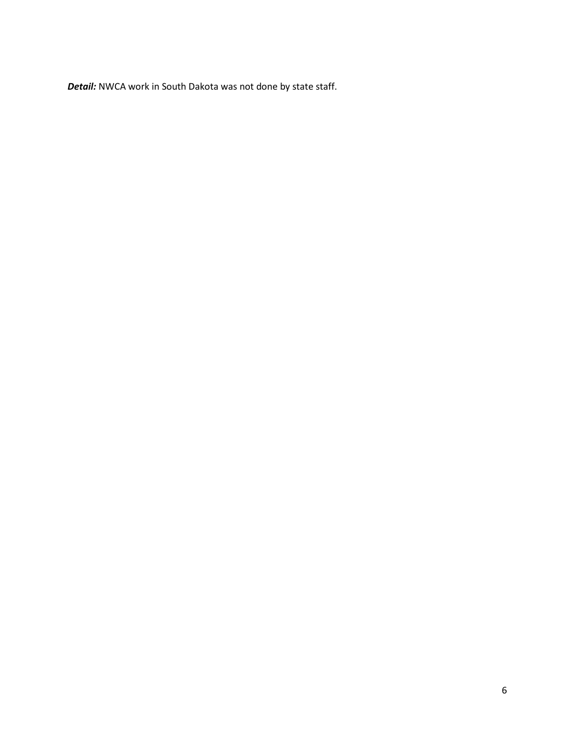*Detail:* NWCA work in South Dakota was not done by state staff.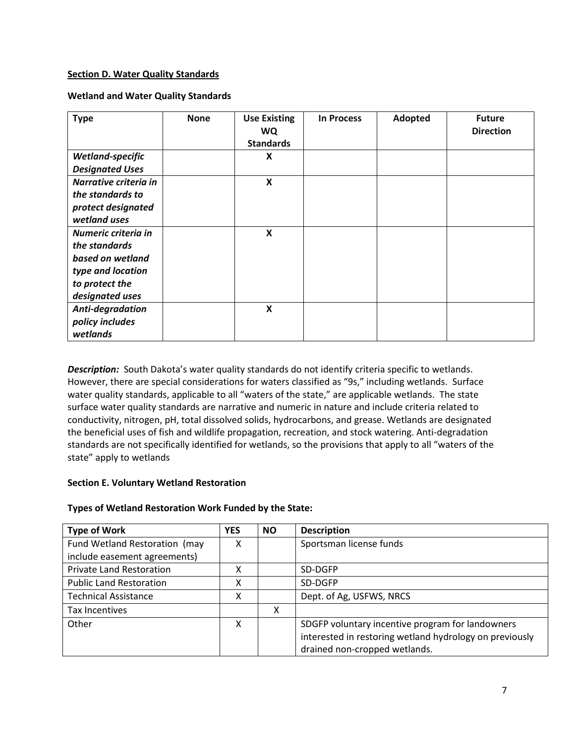# <span id="page-6-0"></span>**Section D. Water Quality Standards**

# **Wetland and Water Quality Standards**

| <b>Type</b>                          | <b>None</b> | <b>Use Existing</b><br><b>WQ</b><br><b>Standards</b> | <b>In Process</b> | Adopted | <b>Future</b><br><b>Direction</b> |
|--------------------------------------|-------------|------------------------------------------------------|-------------------|---------|-----------------------------------|
| Wetland-specific                     |             | $\pmb{\mathsf{X}}$                                   |                   |         |                                   |
| <b>Designated Uses</b>               |             |                                                      |                   |         |                                   |
| Narrative criteria in                |             | $\boldsymbol{\mathsf{X}}$                            |                   |         |                                   |
| the standards to                     |             |                                                      |                   |         |                                   |
| protect designated                   |             |                                                      |                   |         |                                   |
| wetland uses                         |             |                                                      |                   |         |                                   |
| Numeric criteria in<br>the standards |             | $\boldsymbol{X}$                                     |                   |         |                                   |
| based on wetland                     |             |                                                      |                   |         |                                   |
| type and location                    |             |                                                      |                   |         |                                   |
| to protect the                       |             |                                                      |                   |         |                                   |
| designated uses                      |             |                                                      |                   |         |                                   |
| Anti-degradation                     |             | X                                                    |                   |         |                                   |
| policy includes                      |             |                                                      |                   |         |                                   |
| wetlands                             |             |                                                      |                   |         |                                   |

**Description:** South Dakota's water quality standards do not identify criteria specific to wetlands. However, there are special considerations for waters classified as "9s," including wetlands. Surface water quality standards, applicable to all "waters of the state," are applicable wetlands. The state surface water quality standards are narrative and numeric in nature and include criteria related to conductivity, nitrogen, pH, total dissolved solids, hydrocarbons, and grease. Wetlands are designated the beneficial uses of fish and wildlife propagation, recreation, and stock watering. Anti-degradation standards are not specifically identified for wetlands, so the provisions that apply to all "waters of the state" apply to wetlands

# <span id="page-6-1"></span>**Section E. Voluntary Wetland Restoration**

# **Types of Wetland Restoration Work Funded by the State:**

| <b>Type of Work</b>             | <b>YES</b> | <b>NO</b> | <b>Description</b>                                      |
|---------------------------------|------------|-----------|---------------------------------------------------------|
| Fund Wetland Restoration (may   | χ          |           | Sportsman license funds                                 |
| include easement agreements)    |            |           |                                                         |
| <b>Private Land Restoration</b> | x          |           | SD-DGFP                                                 |
| <b>Public Land Restoration</b>  | x          |           | SD-DGFP                                                 |
| <b>Technical Assistance</b>     | Χ          |           | Dept. of Ag, USFWS, NRCS                                |
| Tax Incentives                  |            | χ         |                                                         |
| Other                           | χ          |           | SDGFP voluntary incentive program for landowners        |
|                                 |            |           | interested in restoring wetland hydrology on previously |
|                                 |            |           | drained non-cropped wetlands.                           |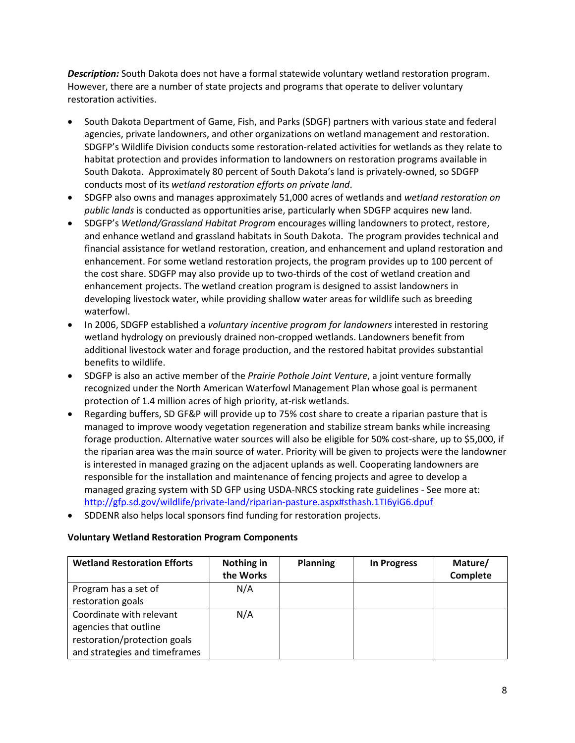*Description:* South Dakota does not have a formal statewide voluntary wetland restoration program. However, there are a number of state projects and programs that operate to deliver voluntary restoration activities.

- South Dakota Department of Game, Fish, and Parks (SDGF) partners with various state and federal agencies, private landowners, and other organizations on wetland management and restoration. SDGFP's Wildlife Division conducts some restoration-related activities for wetlands as they relate to habitat protection and provides information to landowners on restoration programs available in South Dakota. Approximately 80 percent of South Dakota's land is privately-owned, so SDGFP conducts most of its *wetland restoration efforts on private land*.
- SDGFP also owns and manages approximately 51,000 acres of wetlands and *wetland restoration on public lands* is conducted as opportunities arise, particularly when SDGFP acquires new land.
- SDGFP's *Wetland/Grassland Habitat Program* encourages willing landowners to protect, restore, and enhance wetland and grassland habitats in South Dakota. The program provides technical and financial assistance for wetland restoration, creation, and enhancement and upland restoration and enhancement. For some wetland restoration projects, the program provides up to 100 percent of the cost share. SDGFP may also provide up to two-thirds of the cost of wetland creation and enhancement projects. The wetland creation program is designed to assist landowners in developing livestock water, while providing shallow water areas for wildlife such as breeding waterfowl.
- In 2006, SDGFP established a *voluntary incentive program for landowners* interested in restoring wetland hydrology on previously drained non-cropped wetlands. Landowners benefit from additional livestock water and forage production, and the restored habitat provides substantial benefits to wildlife.
- SDGFP is also an active member of the *Prairie Pothole Joint Venture*, a joint venture formally recognized under the North American Waterfowl Management Plan whose goal is permanent protection of 1.4 million acres of high priority, at-risk wetlands.
- Regarding buffers, SD GF&P will provide up to 75% cost share to create a riparian pasture that is managed to improve woody vegetation regeneration and stabilize stream banks while increasing forage production. Alternative water sources will also be eligible for 50% cost-share, up to \$5,000, if the riparian area was the main source of water. Priority will be given to projects were the landowner is interested in managed grazing on the adjacent uplands as well. Cooperating landowners are responsible for the installation and maintenance of fencing projects and agree to develop a managed grazing system with SD GFP using USDA-NRCS stocking rate guidelines - See more at: <http://gfp.sd.gov/wildlife/private-land/riparian-pasture.aspx#sthash.1TI6yiG6.dpuf>
- SDDENR also helps local sponsors find funding for restoration projects.

# **Voluntary Wetland Restoration Program Components**

| <b>Wetland Restoration Efforts</b> | Nothing in<br>the Works | <b>Planning</b> | <b>In Progress</b> | Mature/<br><b>Complete</b> |
|------------------------------------|-------------------------|-----------------|--------------------|----------------------------|
| Program has a set of               | N/A                     |                 |                    |                            |
| restoration goals                  |                         |                 |                    |                            |
| Coordinate with relevant           | N/A                     |                 |                    |                            |
| agencies that outline              |                         |                 |                    |                            |
| restoration/protection goals       |                         |                 |                    |                            |
| and strategies and timeframes      |                         |                 |                    |                            |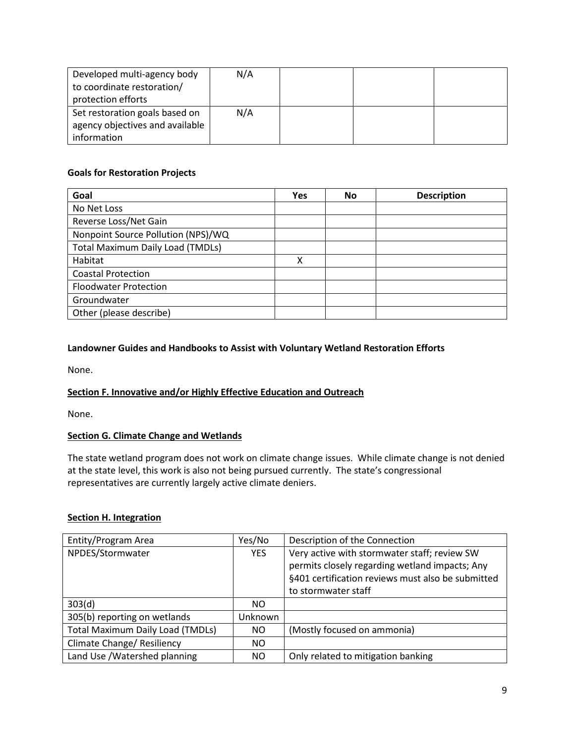| Developed multi-agency body     | N/A |  |  |
|---------------------------------|-----|--|--|
| to coordinate restoration/      |     |  |  |
| protection efforts              |     |  |  |
| Set restoration goals based on  | N/A |  |  |
| agency objectives and available |     |  |  |
| information                     |     |  |  |

# **Goals for Restoration Projects**

| Goal                                    | <b>Yes</b> | No | <b>Description</b> |
|-----------------------------------------|------------|----|--------------------|
| No Net Loss                             |            |    |                    |
| Reverse Loss/Net Gain                   |            |    |                    |
| Nonpoint Source Pollution (NPS)/WQ      |            |    |                    |
| <b>Total Maximum Daily Load (TMDLs)</b> |            |    |                    |
| Habitat                                 | Χ          |    |                    |
| <b>Coastal Protection</b>               |            |    |                    |
| <b>Floodwater Protection</b>            |            |    |                    |
| Groundwater                             |            |    |                    |
| Other (please describe)                 |            |    |                    |

# **Landowner Guides and Handbooks to Assist with Voluntary Wetland Restoration Efforts**

None.

# <span id="page-8-0"></span>**Section F. Innovative and/or Highly Effective Education and Outreach**

None.

# **Section G. Climate Change and Wetlands**

The state wetland program does not work on climate change issues. While climate change is not denied at the state level, this work is also not being pursued currently. The state's congressional representatives are currently largely active climate deniers.

# <span id="page-8-1"></span>**Section H. Integration**

| Entity/Program Area                     | Yes/No     | Description of the Connection                     |
|-----------------------------------------|------------|---------------------------------------------------|
| NPDES/Stormwater                        | <b>YES</b> | Very active with stormwater staff; review SW      |
|                                         |            | permits closely regarding wetland impacts; Any    |
|                                         |            | §401 certification reviews must also be submitted |
|                                         |            | to stormwater staff                               |
| 303(d)                                  | NO.        |                                                   |
| 305(b) reporting on wetlands            | Unknown    |                                                   |
| <b>Total Maximum Daily Load (TMDLs)</b> | NO.        | (Mostly focused on ammonia)                       |
| <b>Climate Change/ Resiliency</b>       | NO.        |                                                   |
| Land Use / Watershed planning           | NO         | Only related to mitigation banking                |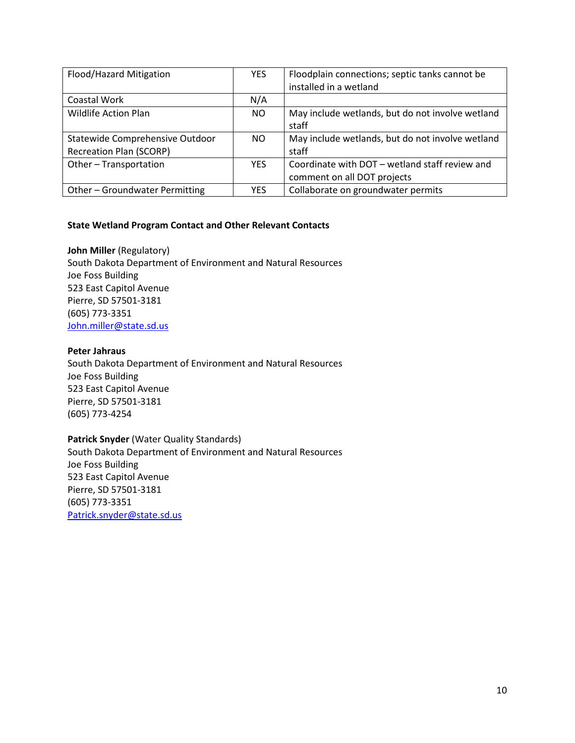| Flood/Hazard Mitigation                                           | <b>YES</b> | Floodplain connections; septic tanks cannot be                                |
|-------------------------------------------------------------------|------------|-------------------------------------------------------------------------------|
|                                                                   |            | installed in a wetland                                                        |
| Coastal Work                                                      | N/A        |                                                                               |
| <b>Wildlife Action Plan</b>                                       | NO.        | May include wetlands, but do not involve wetland<br>staff                     |
| Statewide Comprehensive Outdoor<br><b>Recreation Plan (SCORP)</b> | NO.        | May include wetlands, but do not involve wetland<br>staff                     |
| Other-Transportation                                              | <b>YFS</b> | Coordinate with DOT – wetland staff review and<br>comment on all DOT projects |
| Other - Groundwater Permitting                                    | <b>YFS</b> | Collaborate on groundwater permits                                            |

# **State Wetland Program Contact and Other Relevant Contacts**

**John Miller** (Regulatory) South Dakota Department of Environment and Natural Resources Joe Foss Building 523 East Capitol Avenue Pierre, SD 57501-3181 (605) 773-3351 [John.miller@state.sd.us](mailto:John.miller@state.sd.us)

#### **Peter Jahraus**

South Dakota Department of Environment and Natural Resources Joe Foss Building 523 East Capitol Avenue Pierre, SD 57501-3181 (605) 773-4254

#### **Patrick Snyder** (Water Quality Standards)

South Dakota Department of Environment and Natural Resources Joe Foss Building 523 East Capitol Avenue Pierre, SD 57501-3181 (605) 773-3351 [Patrick.snyder@state.sd.us](mailto:Patrick.snyder@state.sd.us)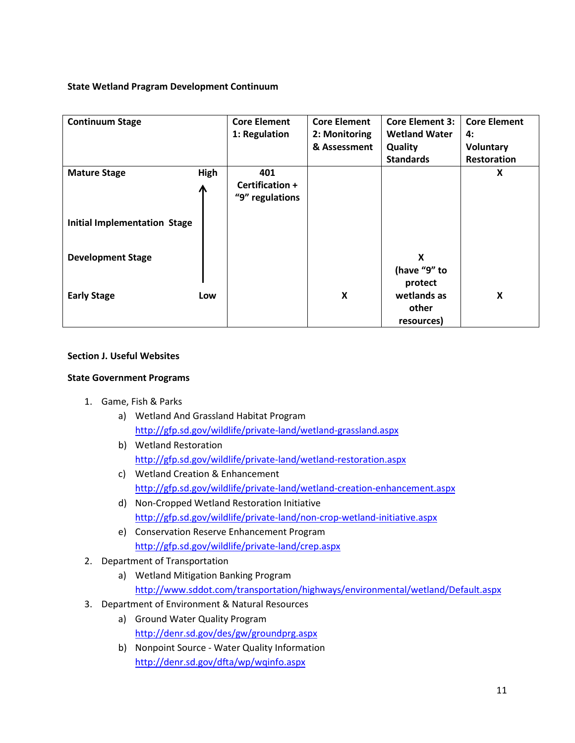# **State Wetland Pragram Development Continuum**

| <b>Continuum Stage</b>              |      | <b>Core Element</b><br>1: Regulation | <b>Core Element</b><br>2: Monitoring | <b>Core Element 3:</b><br><b>Wetland Water</b> | <b>Core Element</b><br>4: |
|-------------------------------------|------|--------------------------------------|--------------------------------------|------------------------------------------------|---------------------------|
|                                     |      |                                      | & Assessment                         | Quality                                        | Voluntary                 |
|                                     |      |                                      |                                      | <b>Standards</b>                               | Restoration               |
| <b>Mature Stage</b>                 | High | 401                                  |                                      |                                                | X                         |
|                                     |      | Certification +                      |                                      |                                                |                           |
|                                     | Л    | "9" regulations                      |                                      |                                                |                           |
| <b>Initial Implementation Stage</b> |      |                                      |                                      |                                                |                           |
| <b>Development Stage</b>            |      |                                      |                                      | X<br>(have "9" to                              |                           |
|                                     |      |                                      |                                      | protect                                        |                           |
| <b>Early Stage</b>                  | Low  |                                      | X                                    | wetlands as<br>other<br>resources)             | X                         |

# **Section J. Useful Websites**

# **State Government Programs**

- 1. Game, Fish & Parks
	- a) Wetland And Grassland Habitat Program <http://gfp.sd.gov/wildlife/private-land/wetland-grassland.aspx>
	- b) Wetland Restoration <http://gfp.sd.gov/wildlife/private-land/wetland-restoration.aspx>
	- c) Wetland Creation & Enhancement <http://gfp.sd.gov/wildlife/private-land/wetland-creation-enhancement.aspx>
	- d) Non-Cropped Wetland Restoration Initiative <http://gfp.sd.gov/wildlife/private-land/non-crop-wetland-initiative.aspx>
	- e) Conservation Reserve Enhancement Program <http://gfp.sd.gov/wildlife/private-land/crep.aspx>
- 2. Department of Transportation
	- a) Wetland Mitigation Banking Program <http://www.sddot.com/transportation/highways/environmental/wetland/Default.aspx>
- 3. Department of Environment & Natural Resources
	- a) Ground Water Quality Program <http://denr.sd.gov/des/gw/groundprg.aspx>
	- b) Nonpoint Source Water Quality Information <http://denr.sd.gov/dfta/wp/wqinfo.aspx>